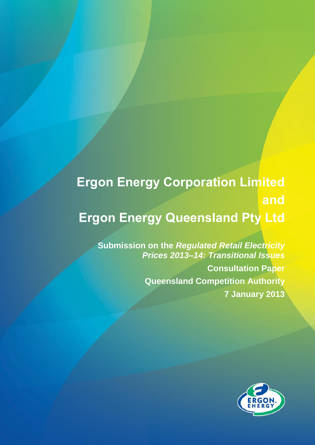# **Ergon Energy Corporation Limited and Ergon Energy Queensland Pty Ltd**

**Submission on the** *Regulated Retail Electricity Prices 2013–14: Transitional Issues* **Consultation Paper Queensland Competition Authority 7 January 2013**

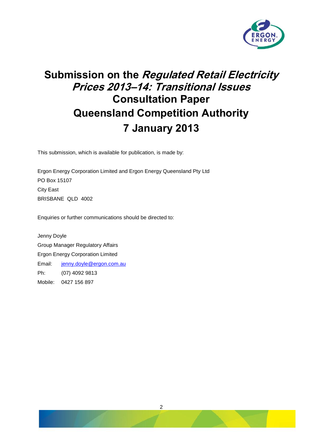

# **Submission on the Regulated Retail Electricity Prices 2013–14: Transitional Issues Consultation Paper Queensland Competition Authority 7 January 2013**

This submission, which is available for publication, is made by:

Ergon Energy Corporation Limited and Ergon Energy Queensland Pty Ltd PO Box 15107 City East BRISBANE QLD 4002

Enquiries or further communications should be directed to:

Jenny Doyle Group Manager Regulatory Affairs Ergon Energy Corporation Limited Email: [jenny.doyle@ergon.com.au](mailto:jenny.doyle@ergon.com.au) Ph: (07) 4092 9813 Mobile: 0427 156 897

2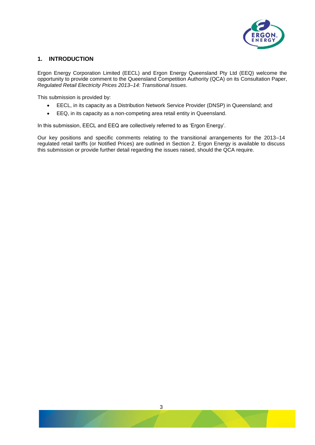

### **1. INTRODUCTION**

Ergon Energy Corporation Limited (EECL) and Ergon Energy Queensland Pty Ltd (EEQ) welcome the opportunity to provide comment to the Queensland Competition Authority (QCA) on its Consultation Paper, *Regulated Retail Electricity Prices 2013–14: Transitional Issues*.

This submission is provided by:

- EECL, in its capacity as a Distribution Network Service Provider (DNSP) in Queensland; and
- EEQ, in its capacity as a non-competing area retail entity in Queensland.

In this submission, EECL and EEQ are collectively referred to as 'Ergon Energy'.

Our key positions and specific comments relating to the transitional arrangements for the 2013–14 regulated retail tariffs (or Notified Prices) are outlined in Section 2. Ergon Energy is available to discuss this submission or provide further detail regarding the issues raised, should the QCA require.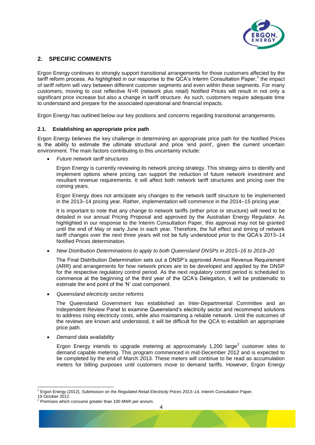

## **2. SPECIFIC COMMENTS**

Ergon Energy continues to strongly support transitional arrangements for those customers affected by the tariff reform process. As highlighted in our response to the QCA's Interim Consultation Paper,<sup>1</sup> the impact of tariff reform will vary between different customer segments and even within these segments. For many customers, moving to cost reflective N+R (network plus retail) Notified Prices will result in not only a significant price increase but also a change in tariff structure. As such, customers require adequate time to understand and prepare for the associated operational and financial impacts.

Ergon Energy has outlined below our key positions and concerns regarding transitional arrangements.

#### **2.1. Establishing an appropriate price path**

Ergon Energy believes the key challenge in determining an appropriate price path for the Notified Prices is the ability to estimate the ultimate structural and price 'end point', given the current uncertain environment. The main factors contributing to this uncertainty include:

*Future network tariff structures*

Ergon Energy is currently reviewing its network pricing strategy. This strategy aims to identify and implement options where pricing can support the reduction of future network investment and resultant revenue requirements. It will affect both network tariff structures and pricing over the coming years.

Ergon Energy does not anticipate any changes to the network tariff structure to be implemented in the 2013–14 pricing year. Rather, implementation will commence in the 2014–15 pricing year.

It is important to note that any change to network tariffs (either price or structure) will need to be detailed in our annual Pricing Proposal and approved by the Australian Energy Regulator. As highlighted in our response to the Interim Consultation Paper, this approval may not be granted until the end of May or early June in each year. Therefore, the full effect and timing of network tariff changes over the next three years will not be fully understood prior to the QCA's 2013–14 Notified Prices determination.

*New Distribution Determinations to apply to both Queensland DNSPs in 2015–16 to 2019–20*

The Final Distribution Determination sets out a DNSP's approved Annual Revenue Requirement (ARR) and arrangements for how network prices are to be developed and applied by the DNSP for the respective regulatory control period. As the next regulatory control period is scheduled to commence at the beginning of the third year of the QCA's Delegation, it will be problematic to estimate the end point of the 'N' cost component.

*Queensland electricity sector reforms*

The Queensland Government has established an Inter-Departmental Committee and an Independent Review Panel to examine Queensland's electricity sector and recommend solutions to address rising electricity costs, while also maintaining a reliable network. Until the outcomes of the reviews are known and understood, it will be difficult for the QCA to establish an appropriate price path.

*Demand data availability*

Ergon Energy intends to upgrade metering at approximately 1,200 large<sup>2</sup> customer sites to demand capable metering. This program commenced in mid-December 2012 and is expected to be completed by the end of March 2013. These meters will continue to be read as accumulation meters for billing purposes until customers move to demand tariffs. However, Ergon Energy

19 October 2012.

l <sup>1</sup> Ergon Energy (2012), Submission on the *Regulated Retail Electricity Prices 2013–14,* Interim Consultation Paper,

<sup>2</sup> Premises which consume greater than 100 MWh per annum.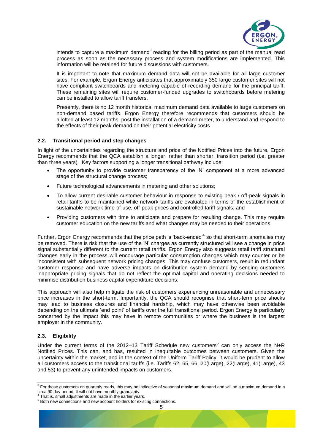

intends to capture a maximum demand<sup>3</sup> reading for the billing period as part of the manual read process as soon as the necessary process and system modifications are implemented. This information will be retained for future discussions with customers.

It is important to note that maximum demand data will not be available for all large customer sites. For example, Ergon Energy anticipates that approximately 350 large customer sites will not have compliant switchboards and metering capable of recording demand for the principal tariff. These remaining sites will require customer-funded upgrades to switchboards before metering can be installed to allow tariff transfers.

Presently, there is no 12 month historical maximum demand data available to large customers on non-demand based tariffs. Ergon Energy therefore recommends that customers should be allotted at least 12 months, post the installation of a demand meter, to understand and respond to the effects of their peak demand on their potential electricity costs.

#### **2.2. Transitional period and step changes**

In light of the uncertainties regarding the structure and price of the Notified Prices into the future, Ergon Energy recommends that the QCA establish a longer, rather than shorter, transition period (i.e. greater than three years). Key factors supporting a longer transitional pathway include:

- The opportunity to provide customer transparency of the 'N' component at a more advanced stage of the structural change process;
- Future technological advancements in metering and other solutions;
- To allow current desirable customer behaviour in response to existing peak / off-peak signals in retail tariffs to be maintained while network tariffs are evaluated in terms of the establishment of sustainable network time-of-use, off-peak prices and controlled tariff signals; and
- Providing customers with time to anticipate and prepare for resulting change. This may require customer education on the new tariffs and what changes may be needed to their operations.

Further, Ergon Energy recommends that the price path is 'back-ended'<sup>4</sup> so that short-term anomalies may be removed. There is risk that the use of the 'N' charges as currently structured will see a change in price signal substantially different to the current retail tariffs. Ergon Energy also suggests retail tariff structural changes early in the process will encourage particular consumption changes which may counter or be inconsistent with subsequent network pricing changes. This may confuse customers, result in redundant customer response and have adverse impacts on distribution system demand by sending customers inappropriate pricing signals that do not reflect the optimal capital and operating decisions needed to minimise distribution business capital expenditure decisions.

This approach will also help mitigate the risk of customers experiencing unreasonable and unnecessary price increases in the short-term. Importantly, the QCA should recognise that short-term price shocks may lead to business closures and financial hardship, which may have otherwise been avoidable depending on the ultimate 'end point' of tariffs over the full transitional period. Ergon Energy is particularly concerned by the impact this may have in remote communities or where the business is the largest employer in the community.

#### **2.3. Eligibility**

Under the current terms of the 2012–13 Tariff Schedule new customers<sup>5</sup> can only access the N+R Notified Prices. This can, and has, resulted in inequitable outcomes between customers. Given the uncertainty within the market, and in the context of the Uniform Tariff Policy, it would be prudent to allow all customers access to the transitional tariffs (i.e. Tariffs 62, 65, 66, 20(Large), 22(Large), 41(Large), 43 and 53) to prevent any unintended impacts on customers.

<sup>&</sup>lt;sup>3</sup> For those customers on quarterly reads, this may be indicative of seasonal maximum demand and will be a maximum demand in a circa 90 day period. It will not have monthly granularity.

<sup>4</sup> That is, small adjustments are made in the earlier years.

<sup>5</sup> Both new connections and new account holders for existing connections.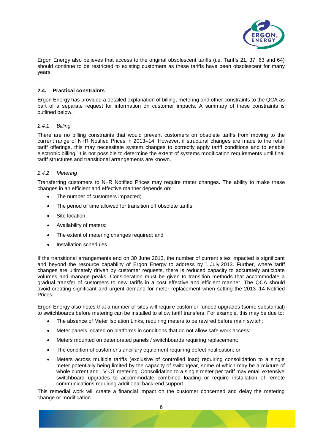

Ergon Energy also believes that access to the original obsolescent tariffs (i.e. Tariffs 21, 37, 63 and 64) should continue to be restricted to existing customers as these tariffs have been obsolescent for many years.

#### **2.4. Practical constraints**

Ergon Energy has provided a detailed explanation of billing, metering and other constraints to the QCA as part of a separate request for information on customer impacts. A summary of these constraints is outlined below.

#### *2.4.1 Billing*

There are no billing constraints that would prevent customers on obsolete tariffs from moving to the current range of N+R Notified Prices in 2013–14. However, if structural changes are made to the retail tariff offerings, this may necessitate system changes to correctly apply tariff conditions and to enable electronic billing. It is not possible to determine the extent of systems modification requirements until final tariff structures and transitional arrangements are known.

#### *2.4.2 Metering*

Transferring customers to N+R Notified Prices may require meter changes. The ability to make these changes in an efficient and effective manner depends on:

- The number of customers impacted;
- The period of time allowed for transition off obsolete tariffs;
- Site location;
- Availability of meters;
- The extent of metering changes required; and
- Installation schedules.

If the transitional arrangements end on 30 June 2013, the number of current sites impacted is significant and beyond the resource capability of Ergon Energy to address by 1 July 2013. Further, where tariff changes are ultimately driven by customer requests, there is reduced capacity to accurately anticipate volumes and manage peaks. Consideration must be given to transition methods that accommodate a gradual transfer of customers to new tariffs in a cost effective and efficient manner. The QCA should avoid creating significant and urgent demand for meter replacement when setting the 2013–14 Notified Prices.

Ergon Energy also notes that a number of sites will require customer-funded upgrades (some substantial) to switchboards before metering can be installed to allow tariff transfers. For example, this may be due to:

- The absence of Meter Isolation Links, requiring meters to be rewired before main switch;
- Meter panels located on platforms in conditions that do not allow safe work access;
- Meters mounted on deteriorated panels / switchboards requiring replacement;
- The condition of customer's ancillary equipment requiring defect notification; or
- Meters across multiple tariffs (exclusive of controlled load) requiring consolidation to a single meter potentially being limited by the capacity of switchgear, some of which may be a mixture of whole current and LV CT metering. Consolidation to a single meter per tariff may entail extensive switchboard upgrades to accommodate combined loading or require installation of remote communications requiring additional back-end support.

This remedial work will create a financial impact on the customer concerned and delay the metering change or modification.